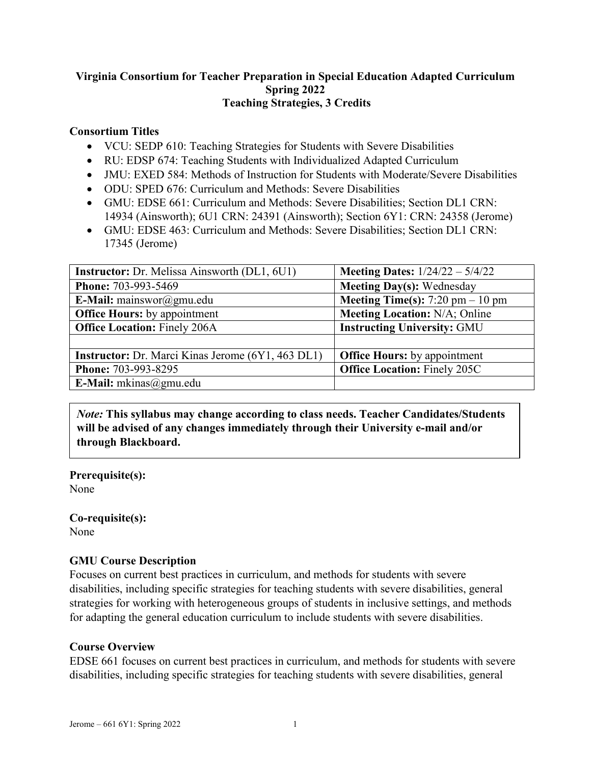## **Virginia Consortium for Teacher Preparation in Special Education Adapted Curriculum Spring 2022 Teaching Strategies, 3 Credits**

## **Consortium Titles**

- VCU: SEDP 610: Teaching Strategies for Students with Severe Disabilities
- RU: EDSP 674: Teaching Students with Individualized Adapted Curriculum
- JMU: EXED 584: Methods of Instruction for Students with Moderate/Severe Disabilities
- ODU: SPED 676: Curriculum and Methods: Severe Disabilities
- GMU: EDSE 661: Curriculum and Methods: Severe Disabilities: Section DL1 CRN: 14934 (Ainsworth); 6U1 CRN: 24391 (Ainsworth); Section 6Y1: CRN: 24358 (Jerome)
- GMU: EDSE 463: Curriculum and Methods: Severe Disabilities; Section DL1 CRN: 17345 (Jerome)

| <b>Instructor:</b> Dr. Melissa Ainsworth (DL1, 6U1)      | <b>Meeting Dates:</b> $1/24/22 - 5/4/22$ |
|----------------------------------------------------------|------------------------------------------|
| Phone: 703-993-5469                                      | <b>Meeting Day(s): Wednesday</b>         |
| E-Mail: mainswor@gmu.edu                                 | <b>Meeting Time(s):</b> 7:20 pm $-10$ pm |
| <b>Office Hours:</b> by appointment                      | <b>Meeting Location: N/A; Online</b>     |
| <b>Office Location: Finely 206A</b>                      | <b>Instructing University: GMU</b>       |
|                                                          |                                          |
| <b>Instructor:</b> Dr. Marci Kinas Jerome (6Y1, 463 DL1) | <b>Office Hours:</b> by appointment      |
| Phone: 703-993-8295                                      | <b>Office Location: Finely 205C</b>      |
| E-Mail: $mkinas@gmu.edu$                                 |                                          |

*Note:* **This syllabus may change according to class needs. Teacher Candidates/Students will be advised of any changes immediately through their University e-mail and/or through Blackboard.**

**Prerequisite(s):** None

# **Co-requisite(s):**

None

## **GMU Course Description**

Focuses on current best practices in curriculum, and methods for students with severe disabilities, including specific strategies for teaching students with severe disabilities, general strategies for working with heterogeneous groups of students in inclusive settings, and methods for adapting the general education curriculum to include students with severe disabilities.

## **Course Overview**

EDSE 661 focuses on current best practices in curriculum, and methods for students with severe disabilities, including specific strategies for teaching students with severe disabilities, general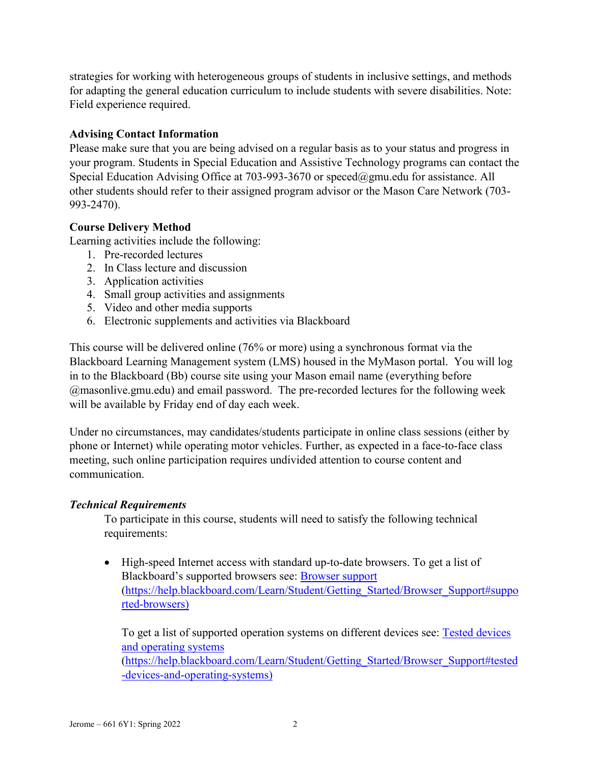strategies for working with heterogeneous groups of students in inclusive settings, and methods for adapting the general education curriculum to include students with severe disabilities. Note: Field experience required.

## **Advising Contact Information**

Please make sure that you are being advised on a regular basis as to your status and progress in your program. Students in Special Education and Assistive Technology programs can contact the Special Education Advising Office at 703-993-3670 or [speced@gmu.edu](mailto:speced@gmu.edu) for assistance. All other students should refer to their assigned program advisor or the Mason Care Network (703- 993-2470).

## **Course Delivery Method**

Learning activities include the following:

- 1. Pre-recorded lectures
- 2. In Class lecture and discussion
- 3. Application activities
- 4. Small group activities and assignments
- 5. Video and other media supports
- 6. Electronic supplements and activities via Blackboard

This course will be delivered online (76% or more) using a synchronous format via the Blackboard Learning Management system (LMS) housed in the MyMason portal. You will log in to the Blackboard (Bb) course site using your Mason email name (everything before @masonlive.gmu.edu) and email password. The pre-recorded lectures for the following week will be available by Friday end of day each week.

Under no circumstances, may candidates/students participate in online class sessions (either by phone or Internet) while operating motor vehicles. Further, as expected in a face-to-face class meeting, such online participation requires undivided attention to course content and communication.

## *Technical Requirements*

To participate in this course, students will need to satisfy the following technical requirements:

• High-speed Internet access with standard up-to-date browsers. To get a list of Blackboard's supported browsers see: [Browser support](https://help.blackboard.com/Learn/Student/Getting_Started/Browser_Support#supported-browsers) [\(https://help.blackboard.com/Learn/Student/Getting\\_Started/Browser\\_Support#suppo](https://help.blackboard.com/Learn/Student/Getting_Started/Browser_Support#supported-browsers) [rted-browsers\)](https://help.blackboard.com/Learn/Student/Getting_Started/Browser_Support#supported-browsers)

To get a list of supported operation systems on different devices see: [Tested devices](https://help.blackboard.com/Learn/Student/Getting_Started/Browser_Support#tested-devices-and-operating-systems)  [and operating systems](https://help.blackboard.com/Learn/Student/Getting_Started/Browser_Support#tested-devices-and-operating-systems) [\(https://help.blackboard.com/Learn/Student/Getting\\_Started/Browser\\_Support#tested](https://help.blackboard.com/Learn/Student/Getting_Started/Browser_Support#tested-devices-and-operating-systems) [-devices-and-operating-systems\)](https://help.blackboard.com/Learn/Student/Getting_Started/Browser_Support#tested-devices-and-operating-systems)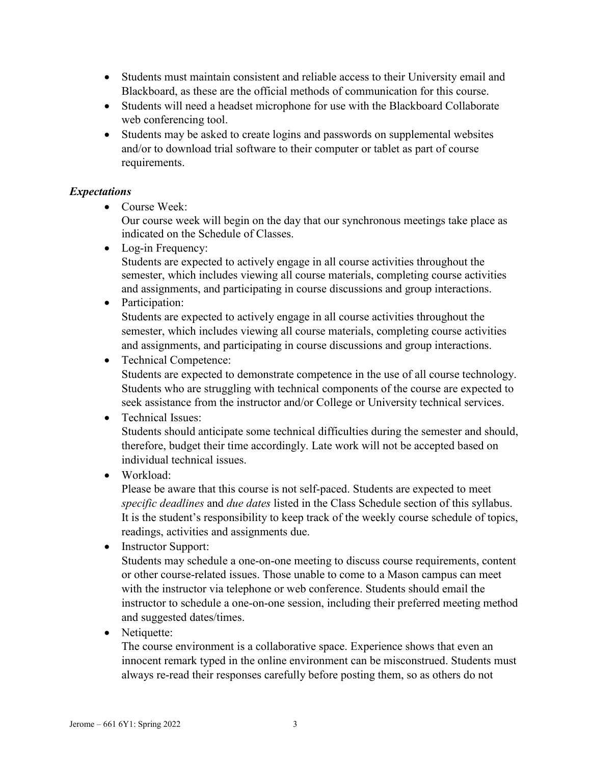- Students must maintain consistent and reliable access to their University email and Blackboard, as these are the official methods of communication for this course.
- Students will need a headset microphone for use with the Blackboard Collaborate web conferencing tool.
- Students may be asked to create logins and passwords on supplemental websites and/or to download trial software to their computer or tablet as part of course requirements.

## *Expectations*

• Course Week:

Our course week will begin on the day that our synchronous meetings take place as indicated on the Schedule of Classes.

• Log-in Frequency:

Students are expected to actively engage in all course activities throughout the semester, which includes viewing all course materials, completing course activities and assignments, and participating in course discussions and group interactions.

• Participation:

Students are expected to actively engage in all course activities throughout the semester, which includes viewing all course materials, completing course activities and assignments, and participating in course discussions and group interactions.

• Technical Competence:

Students are expected to demonstrate competence in the use of all course technology. Students who are struggling with technical components of the course are expected to seek assistance from the instructor and/or College or University technical services.

## • Technical Issues:

Students should anticipate some technical difficulties during the semester and should, therefore, budget their time accordingly. Late work will not be accepted based on individual technical issues.

• Workload:

Please be aware that this course is not self-paced. Students are expected to meet *specific deadlines* and *due dates* listed in the Class Schedule section of this syllabus. It is the student's responsibility to keep track of the weekly course schedule of topics, readings, activities and assignments due.

• Instructor Support:

Students may schedule a one-on-one meeting to discuss course requirements, content or other course-related issues. Those unable to come to a Mason campus can meet with the instructor via telephone or web conference. Students should email the instructor to schedule a one-on-one session, including their preferred meeting method and suggested dates/times.

• Netiquette:

The course environment is a collaborative space. Experience shows that even an innocent remark typed in the online environment can be misconstrued. Students must always re-read their responses carefully before posting them, so as others do not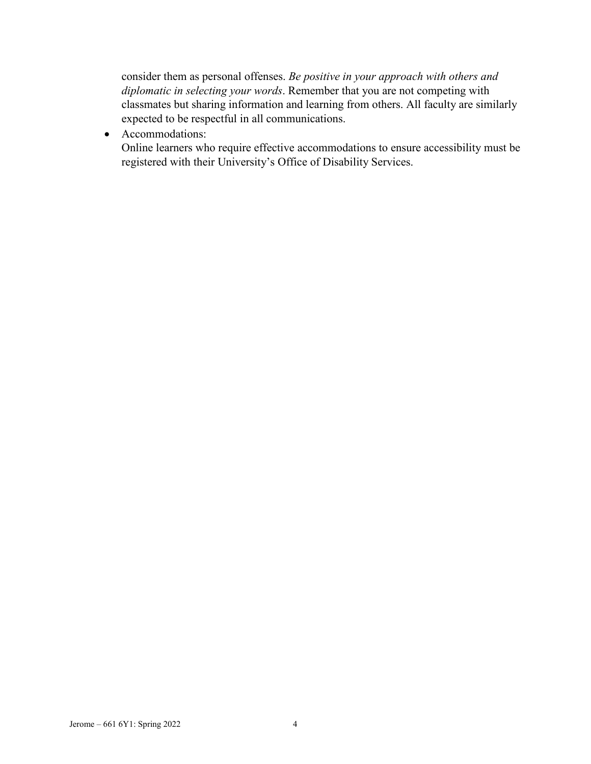consider them as personal offenses. *Be positive in your approach with others and diplomatic in selecting your words*. Remember that you are not competing with classmates but sharing information and learning from others. All faculty are similarly expected to be respectful in all communications.

• Accommodations:

Online learners who require effective accommodations to ensure accessibility must be registered with their University's Office of Disability Services.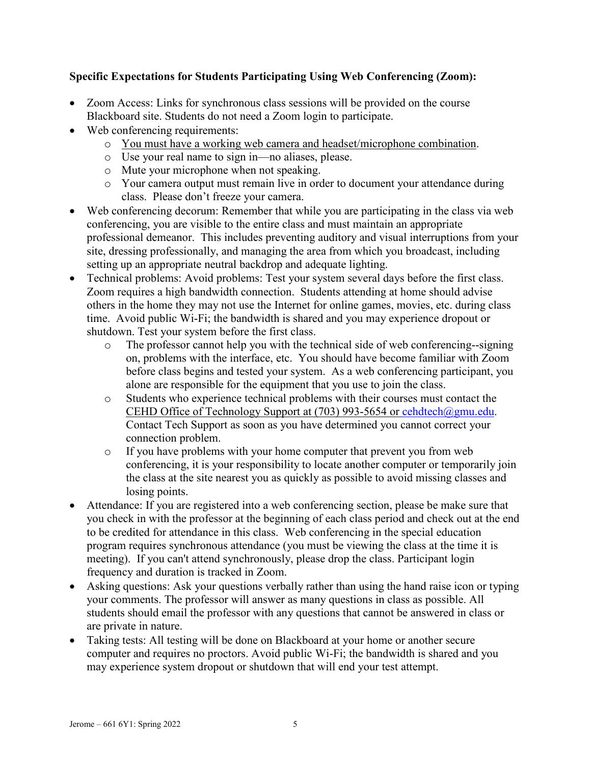## **Specific Expectations for Students Participating Using Web Conferencing (Zoom):**

- Zoom Access: Links for synchronous class sessions will be provided on the course Blackboard site. Students do not need a Zoom login to participate.
- Web conferencing requirements:
	- o You must have a working web camera and headset/microphone combination.
	- o Use your real name to sign in—no aliases, please.
	- o Mute your microphone when not speaking.
	- o Your camera output must remain live in order to document your attendance during class. Please don't freeze your camera.
- Web conferencing decorum: Remember that while you are participating in the class via web conferencing, you are visible to the entire class and must maintain an appropriate professional demeanor. This includes preventing auditory and visual interruptions from your site, dressing professionally, and managing the area from which you broadcast, including setting up an appropriate neutral backdrop and adequate lighting.
- Technical problems: Avoid problems: Test your system several days before the first class. Zoom requires a high bandwidth connection. Students attending at home should advise others in the home they may not use the Internet for online games, movies, etc. during class time. Avoid public Wi-Fi; the bandwidth is shared and you may experience dropout or shutdown. Test your system before the first class.
	- o The professor cannot help you with the technical side of web conferencing--signing on, problems with the interface, etc. You should have become familiar with Zoom before class begins and tested your system. As a web conferencing participant, you alone are responsible for the equipment that you use to join the class.
	- o Students who experience technical problems with their courses must contact the CEHD Office of Technology Support at (703) 993-5654 or [cehdtech@gmu.edu.](mailto:cehdtech@gmu.edu) Contact Tech Support as soon as you have determined you cannot correct your connection problem.
	- o If you have problems with your home computer that prevent you from web conferencing, it is your responsibility to locate another computer or temporarily join the class at the site nearest you as quickly as possible to avoid missing classes and losing points.
- Attendance: If you are registered into a web conferencing section, please be make sure that you check in with the professor at the beginning of each class period and check out at the end to be credited for attendance in this class. Web conferencing in the special education program requires synchronous attendance (you must be viewing the class at the time it is meeting). If you can't attend synchronously, please drop the class. Participant login frequency and duration is tracked in Zoom.
- Asking questions: Ask your questions verbally rather than using the hand raise icon or typing your comments. The professor will answer as many questions in class as possible. All students should email the professor with any questions that cannot be answered in class or are private in nature.
- Taking tests: All testing will be done on Blackboard at your home or another secure computer and requires no proctors. Avoid public Wi-Fi; the bandwidth is shared and you may experience system dropout or shutdown that will end your test attempt.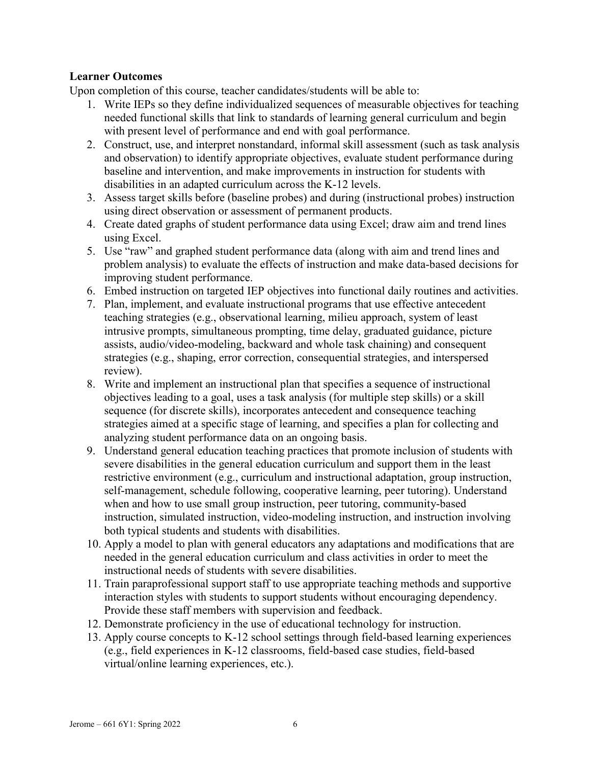## **Learner Outcomes**

Upon completion of this course, teacher candidates/students will be able to:

- 1. Write IEPs so they define individualized sequences of measurable objectives for teaching needed functional skills that link to standards of learning general curriculum and begin with present level of performance and end with goal performance.
- 2. Construct, use, and interpret nonstandard, informal skill assessment (such as task analysis and observation) to identify appropriate objectives, evaluate student performance during baseline and intervention, and make improvements in instruction for students with disabilities in an adapted curriculum across the K-12 levels.
- 3. Assess target skills before (baseline probes) and during (instructional probes) instruction using direct observation or assessment of permanent products.
- 4. Create dated graphs of student performance data using Excel; draw aim and trend lines using Excel.
- 5. Use "raw" and graphed student performance data (along with aim and trend lines and problem analysis) to evaluate the effects of instruction and make data-based decisions for improving student performance.
- 6. Embed instruction on targeted IEP objectives into functional daily routines and activities.
- 7. Plan, implement, and evaluate instructional programs that use effective antecedent teaching strategies (e.g., observational learning, milieu approach, system of least intrusive prompts, simultaneous prompting, time delay, graduated guidance, picture assists, audio/video-modeling, backward and whole task chaining) and consequent strategies (e.g., shaping, error correction, consequential strategies, and interspersed review).
- 8. Write and implement an instructional plan that specifies a sequence of instructional objectives leading to a goal, uses a task analysis (for multiple step skills) or a skill sequence (for discrete skills), incorporates antecedent and consequence teaching strategies aimed at a specific stage of learning, and specifies a plan for collecting and analyzing student performance data on an ongoing basis.
- 9. Understand general education teaching practices that promote inclusion of students with severe disabilities in the general education curriculum and support them in the least restrictive environment (e.g., curriculum and instructional adaptation, group instruction, self-management, schedule following, cooperative learning, peer tutoring). Understand when and how to use small group instruction, peer tutoring, community-based instruction, simulated instruction, video-modeling instruction, and instruction involving both typical students and students with disabilities.
- 10. Apply a model to plan with general educators any adaptations and modifications that are needed in the general education curriculum and class activities in order to meet the instructional needs of students with severe disabilities.
- 11. Train paraprofessional support staff to use appropriate teaching methods and supportive interaction styles with students to support students without encouraging dependency. Provide these staff members with supervision and feedback.
- 12. Demonstrate proficiency in the use of educational technology for instruction.
- 13. Apply course concepts to K-12 school settings through field-based learning experiences (e.g., field experiences in K-12 classrooms, field-based case studies, field-based virtual/online learning experiences, etc.).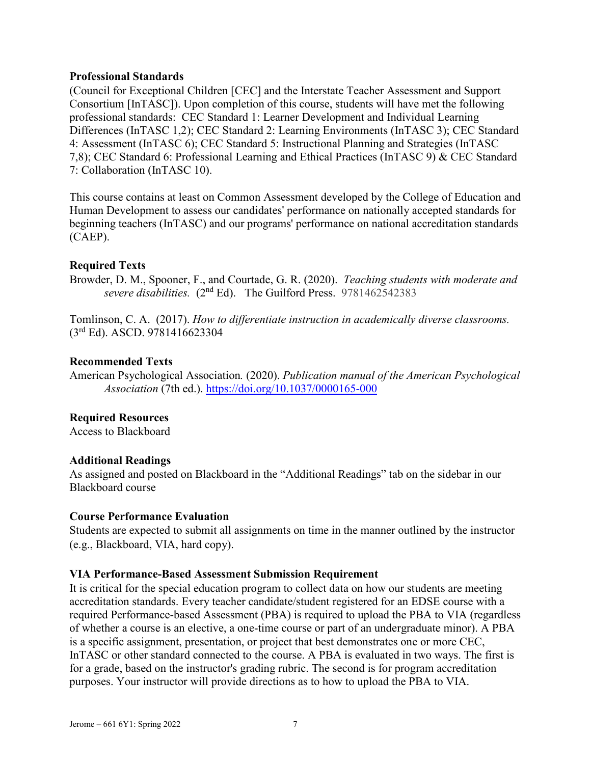#### **Professional Standards**

(Council for Exceptional Children [CEC] and the Interstate Teacher Assessment and Support Consortium [InTASC]). Upon completion of this course, students will have met the following professional standards: CEC Standard 1: Learner Development and Individual Learning Differences (InTASC 1,2); CEC Standard 2: Learning Environments (InTASC 3); CEC Standard 4: Assessment (InTASC 6); CEC Standard 5: Instructional Planning and Strategies (InTASC 7,8); CEC Standard 6: Professional Learning and Ethical Practices (InTASC 9) & CEC Standard 7: Collaboration (InTASC 10).

This course contains at least on Common Assessment developed by the College of Education and Human Development to assess our candidates' performance on nationally accepted standards for beginning teachers (InTASC) and our programs' performance on national accreditation standards (CAEP).

#### **Required Texts**

Browder, D. M., Spooner, F., and Courtade, G. R. (2020). *Teaching students with moderate and severe disabilities.* (2nd Ed). The Guilford Press. 9781462542383

Tomlinson, C. A. (2017). *How to differentiate instruction in academically diverse classrooms.* (3rd Ed). ASCD. 9781416623304

### **Recommended Texts**

American Psychological Association*.* (2020). *Publication manual of the American Psychological Association* (7th ed.). <https://doi.org/10.1037/0000165-000>

## **Required Resources**

Access to Blackboard

#### **Additional Readings**

As assigned and posted on Blackboard in the "Additional Readings" tab on the sidebar in our Blackboard course

#### **Course Performance Evaluation**

Students are expected to submit all assignments on time in the manner outlined by the instructor (e.g., Blackboard, VIA, hard copy).

#### **VIA Performance-Based Assessment Submission Requirement**

It is critical for the special education program to collect data on how our students are meeting accreditation standards. Every teacher candidate/student registered for an EDSE course with a required Performance-based Assessment (PBA) is required to upload the PBA to VIA (regardless of whether a course is an elective, a one-time course or part of an undergraduate minor). A PBA is a specific assignment, presentation, or project that best demonstrates one or more CEC, InTASC or other standard connected to the course. A PBA is evaluated in two ways. The first is for a grade, based on the instructor's grading rubric. The second is for program accreditation purposes. Your instructor will provide directions as to how to upload the PBA to VIA.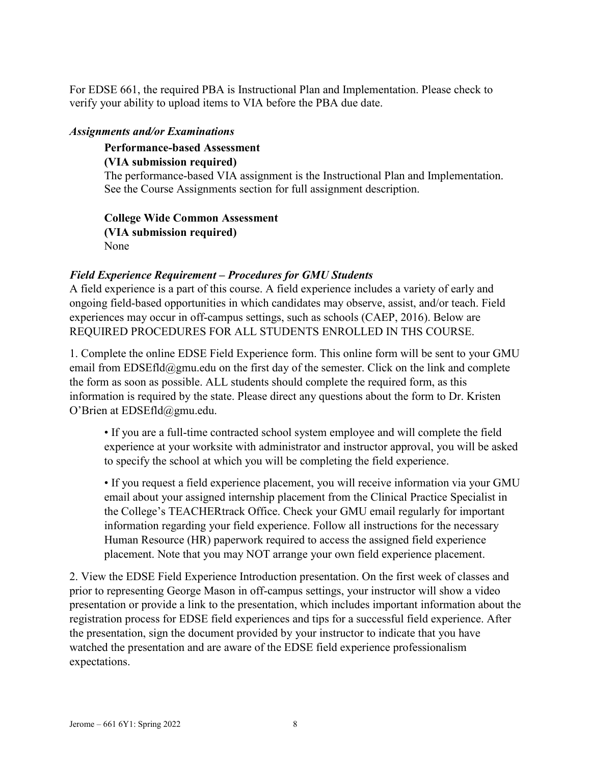For EDSE 661, the required PBA is Instructional Plan and Implementation. Please check to verify your ability to upload items to VIA before the PBA due date.

### *Assignments and/or Examinations*

**Performance-based Assessment**

**(VIA submission required)**

The performance-based VIA assignment is the Instructional Plan and Implementation. See the Course Assignments section for full assignment description.

**College Wide Common Assessment (VIA submission required)** None

## *Field Experience Requirement – Procedures for GMU Students*

A field experience is a part of this course. A field experience includes a variety of early and ongoing field-based opportunities in which candidates may observe, assist, and/or teach. Field experiences may occur in off-campus settings, such as schools (CAEP, 2016). Below are REQUIRED PROCEDURES FOR ALL STUDENTS ENROLLED IN THS COURSE.

1. Complete the online EDSE Field Experience form. This online form will be sent to your GMU email from EDSEfld@gmu.edu on the first day of the semester. Click on the link and complete the form as soon as possible. ALL students should complete the required form, as this information is required by the state. Please direct any questions about the form to Dr. Kristen O'Brien at EDSEfld@gmu.edu.

• If you are a full-time contracted school system employee and will complete the field experience at your worksite with administrator and instructor approval, you will be asked to specify the school at which you will be completing the field experience.

• If you request a field experience placement, you will receive information via your GMU email about your assigned internship placement from the Clinical Practice Specialist in the College's TEACHERtrack Office. Check your GMU email regularly for important information regarding your field experience. Follow all instructions for the necessary Human Resource (HR) paperwork required to access the assigned field experience placement. Note that you may NOT arrange your own field experience placement.

2. View the EDSE Field Experience Introduction presentation. On the first week of classes and prior to representing George Mason in off-campus settings, your instructor will show a video presentation or provide a link to the presentation, which includes important information about the registration process for EDSE field experiences and tips for a successful field experience. After the presentation, sign the document provided by your instructor to indicate that you have watched the presentation and are aware of the EDSE field experience professionalism expectations.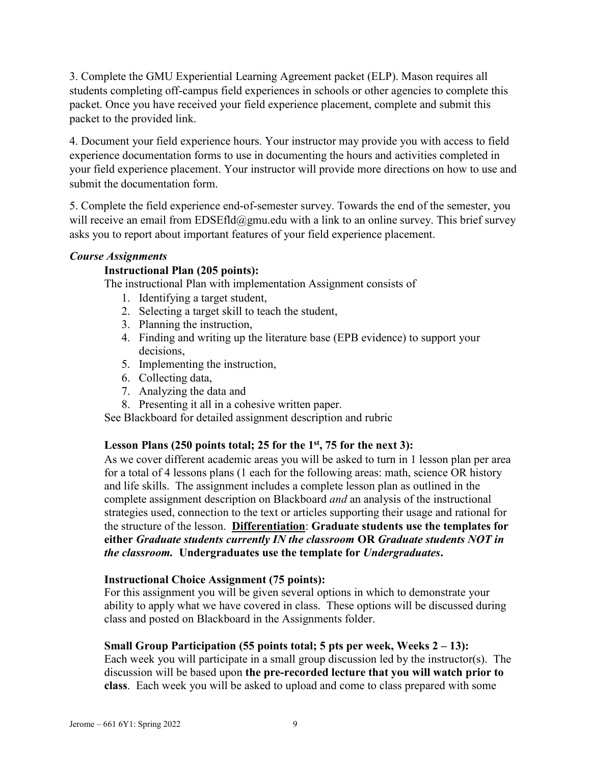3. Complete the GMU Experiential Learning Agreement packet (ELP). Mason requires all students completing off-campus field experiences in schools or other agencies to complete this packet. Once you have received your field experience placement, complete and submit this packet to the provided link.

4. Document your field experience hours. Your instructor may provide you with access to field experience documentation forms to use in documenting the hours and activities completed in your field experience placement. Your instructor will provide more directions on how to use and submit the documentation form.

5. Complete the field experience end-of-semester survey. Towards the end of the semester, you will receive an email from EDSEfld@gmu.edu with a link to an online survey. This brief survey asks you to report about important features of your field experience placement.

#### *Course Assignments*

#### **Instructional Plan (205 points):**

The instructional Plan with implementation Assignment consists of

- 1. Identifying a target student,
- 2. Selecting a target skill to teach the student,
- 3. Planning the instruction,
- 4. Finding and writing up the literature base (EPB evidence) to support your decisions,
- 5. Implementing the instruction,
- 6. Collecting data,
- 7. Analyzing the data and
- 8. Presenting it all in a cohesive written paper.

See Blackboard for detailed assignment description and rubric

#### **Lesson Plans (250 points total; 25 for the 1st, 75 for the next 3):**

As we cover different academic areas you will be asked to turn in 1 lesson plan per area for a total of 4 lessons plans (1 each for the following areas: math, science OR history and life skills. The assignment includes a complete lesson plan as outlined in the complete assignment description on Blackboard *and* an analysis of the instructional strategies used, connection to the text or articles supporting their usage and rational for the structure of the lesson. **Differentiation**: **Graduate students use the templates for either** *Graduate students currently IN the classroom* **OR** *Graduate students NOT in the classroom.* **Undergraduates use the template for** *Undergraduates***.** 

#### **Instructional Choice Assignment (75 points):**

For this assignment you will be given several options in which to demonstrate your ability to apply what we have covered in class. These options will be discussed during class and posted on Blackboard in the Assignments folder.

#### **Small Group Participation (55 points total; 5 pts per week, Weeks 2 – 13):**

Each week you will participate in a small group discussion led by the instructor(s). The discussion will be based upon **the pre-recorded lecture that you will watch prior to class**. Each week you will be asked to upload and come to class prepared with some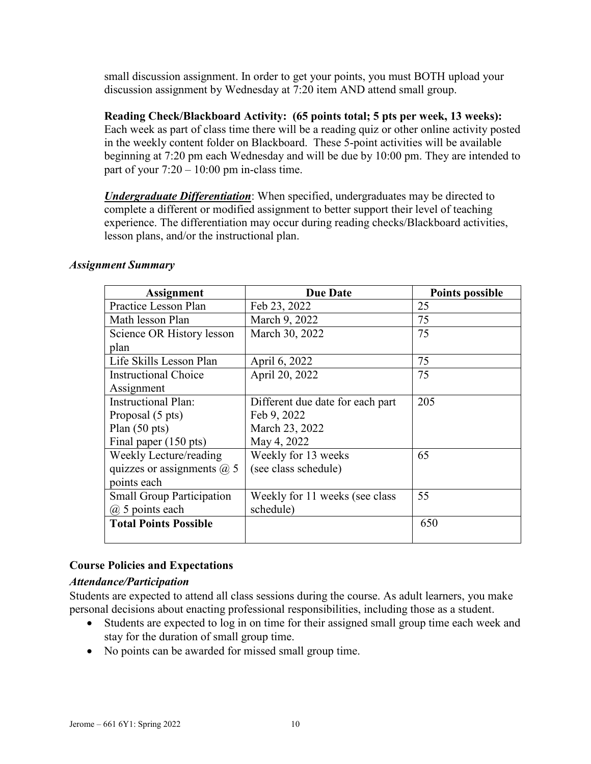small discussion assignment. In order to get your points, you must BOTH upload your discussion assignment by Wednesday at 7:20 item AND attend small group.

**Reading Check/Blackboard Activity: (65 points total; 5 pts per week, 13 weeks):** Each week as part of class time there will be a reading quiz or other online activity posted in the weekly content folder on Blackboard. These 5-point activities will be available beginning at 7:20 pm each Wednesday and will be due by 10:00 pm. They are intended to part of your  $7:20 - 10:00$  pm in-class time.

*Undergraduate Differentiation*: When specified, undergraduates may be directed to complete a different or modified assignment to better support their level of teaching experience. The differentiation may occur during reading checks/Blackboard activities, lesson plans, and/or the instructional plan.

#### *Assignment Summary*

| <b>Assignment</b>                | <b>Due Date</b>                  | <b>Points possible</b> |
|----------------------------------|----------------------------------|------------------------|
| Practice Lesson Plan             | Feb 23, 2022                     | 25                     |
| Math lesson Plan                 | March 9, 2022                    | 75                     |
| Science OR History lesson        | March 30, 2022                   | 75                     |
| plan                             |                                  |                        |
| Life Skills Lesson Plan          | April 6, 2022                    | 75                     |
| <b>Instructional Choice</b>      | April 20, 2022                   | 75                     |
| Assignment                       |                                  |                        |
| <b>Instructional Plan:</b>       | Different due date for each part | 205                    |
| Proposal (5 pts)                 | Feb 9, 2022                      |                        |
| Plan $(50 \text{ pts})$          | March 23, 2022                   |                        |
| Final paper (150 pts)            | May 4, 2022                      |                        |
| Weekly Lecture/reading           | Weekly for 13 weeks              | 65                     |
| quizzes or assignments $(a)$ 5   | (see class schedule)             |                        |
| points each                      |                                  |                        |
| <b>Small Group Participation</b> | Weekly for 11 weeks (see class)  | 55                     |
| @ 5 points each                  | schedule)                        |                        |
| <b>Total Points Possible</b>     |                                  | 650                    |

## **Course Policies and Expectations**

## *Attendance/Participation*

Students are expected to attend all class sessions during the course. As adult learners, you make personal decisions about enacting professional responsibilities, including those as a student.

- Students are expected to log in on time for their assigned small group time each week and stay for the duration of small group time.
- No points can be awarded for missed small group time.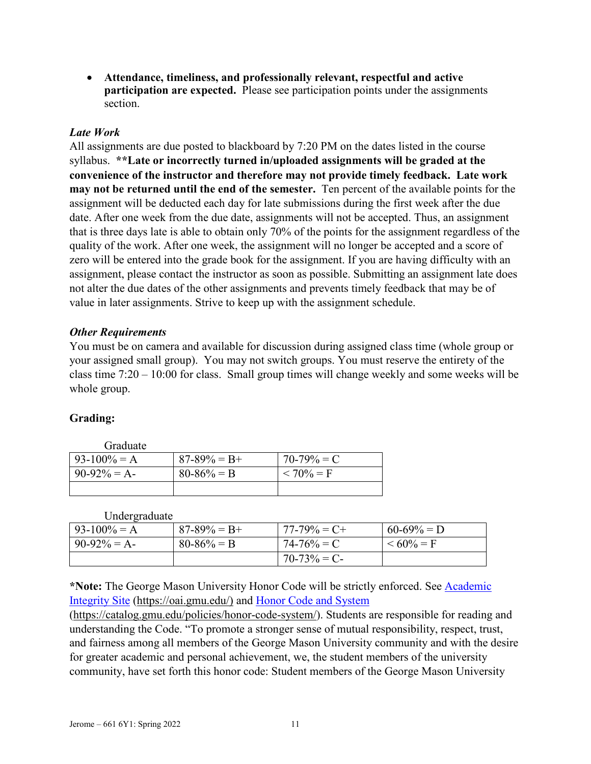• **Attendance, timeliness, and professionally relevant, respectful and active participation are expected.** Please see participation points under the assignments section.

## *Late Work*

All assignments are due posted to blackboard by 7:20 PM on the dates listed in the course syllabus. **\*\*Late or incorrectly turned in/uploaded assignments will be graded at the convenience of the instructor and therefore may not provide timely feedback. Late work may not be returned until the end of the semester.** Ten percent of the available points for the assignment will be deducted each day for late submissions during the first week after the due date. After one week from the due date, assignments will not be accepted. Thus, an assignment that is three days late is able to obtain only 70% of the points for the assignment regardless of the quality of the work. After one week, the assignment will no longer be accepted and a score of zero will be entered into the grade book for the assignment. If you are having difficulty with an assignment, please contact the instructor as soon as possible. Submitting an assignment late does not alter the due dates of the other assignments and prevents timely feedback that may be of value in later assignments. Strive to keep up with the assignment schedule.

### *Other Requirements*

You must be on camera and available for discussion during assigned class time (whole group or your assigned small group). You may not switch groups. You must reserve the entirety of the class time 7:20 – 10:00 for class. Small group times will change weekly and some weeks will be whole group.

## **Grading:**

Graduate  $93-100\% = A$  87-89% = B+ 70-79% = C<br>90-92% = A- 80-86% = B < 70% = F  $90-92\% = A - 80-86\% = B$ 

**Undergraduate** 

| $93-100% = A$ | $87 - 89\% = B +$ | $77-79\% = C +$ | $60-69\% = D$ |
|---------------|-------------------|-----------------|---------------|
| $90-92\% = A$ | $80 - 86\% = B$   | $74 - 76\% = C$ | $<60\% = F$   |
|               |                   | $70-73\% = C$   |               |

\*Note: The George Mason University Honor Code will be strictly enforced. See **Academic** [Integrity Site](https://oai.gmu.edu/) [\(https://oai.gmu.edu/\)](https://oai.gmu.edu/) and [Honor Code and System](https://catalog.gmu.edu/policies/honor-code-system/)

[\(https://catalog.gmu.edu/policies/honor-code-system/\)](https://catalog.gmu.edu/policies/honor-code-system/). Students are responsible for reading and understanding the Code. "To promote a stronger sense of mutual responsibility, respect, trust, and fairness among all members of the George Mason University community and with the desire for greater academic and personal achievement, we, the student members of the university community, have set forth this honor code: Student members of the George Mason University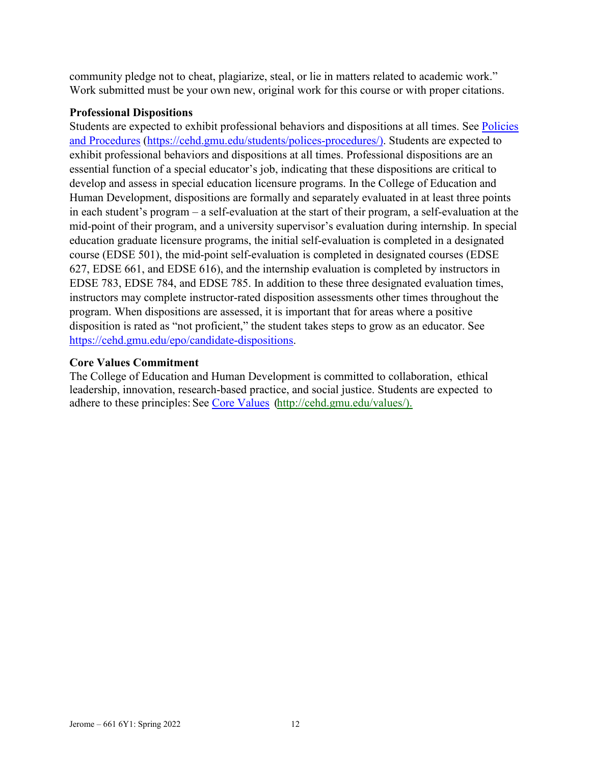community pledge not to cheat, plagiarize, steal, or lie in matters related to academic work." Work submitted must be your own new, original work for this course or with proper citations.

## **Professional Dispositions**

Students are expected to exhibit professional behaviors and dispositions at all times. See [Policies](https://cehd.gmu.edu/students/polices-procedures/)  [and Procedures](https://cehd.gmu.edu/students/polices-procedures/) [\(https://cehd.gmu.edu/students/polices-procedures/\)](https://cehd.gmu.edu/students/polices-procedures/). Students are expected to exhibit professional behaviors and dispositions at all times. Professional dispositions are an essential function of a special educator's job, indicating that these dispositions are critical to develop and assess in special education licensure programs. In the College of Education and Human Development, dispositions are formally and separately evaluated in at least three points in each student's program – a self-evaluation at the start of their program, a self-evaluation at the mid-point of their program, and a university supervisor's evaluation during internship. In special education graduate licensure programs, the initial self-evaluation is completed in a designated course (EDSE 501), the mid-point self-evaluation is completed in designated courses (EDSE 627, EDSE 661, and EDSE 616), and the internship evaluation is completed by instructors in EDSE 783, EDSE 784, and EDSE 785. In addition to these three designated evaluation times, instructors may complete instructor-rated disposition assessments other times throughout the program. When dispositions are assessed, it is important that for areas where a positive disposition is rated as "not proficient," the student takes steps to grow as an educator. See [https://cehd.gmu.edu/epo/candidate-dispositions.](https://cehd.gmu.edu/epo/candidate-dispositions)

### **Core Values Commitment**

The College of Education and Human Development is committed to collaboration, ethical leadership, innovation, research-based practice, and social justice. Students are expected to adhere to these principles: See [Core Values](http://cehd.gmu.edu/values/) [\(http://cehd.gmu.edu/values/\)](http://cehd.gmu.edu/values/).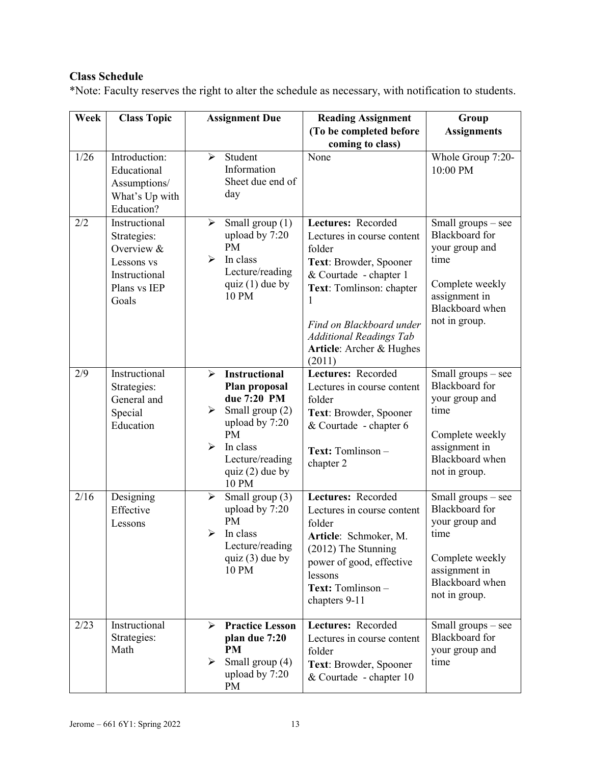# **Class Schedule**

\*Note: Faculty reserves the right to alter the schedule as necessary, with notification to students.

| Week | <b>Class Topic</b>                                          | <b>Assignment Due</b>                          | <b>Reading Assignment</b>            | Group                                               |
|------|-------------------------------------------------------------|------------------------------------------------|--------------------------------------|-----------------------------------------------------|
|      |                                                             |                                                | (To be completed before              | <b>Assignments</b>                                  |
| 1/26 | Introduction:                                               | Student<br>$\blacktriangleright$               | coming to class)<br>None             | Whole Group 7:20-                                   |
|      | Educational<br>Assumptions/<br>What's Up with<br>Education? | Information<br>Sheet due end of<br>day         |                                      | 10:00 PM                                            |
| 2/2  | Instructional                                               | Small group $(1)$<br>➤                         | Lectures: Recorded                   | Small groups – see                                  |
|      | Strategies:<br>Overview &                                   | upload by 7:20<br><b>PM</b>                    | Lectures in course content<br>folder | <b>Blackboard</b> for<br>your group and             |
|      | Lessons vs                                                  | $\blacktriangleright$<br>In class              | Text: Browder, Spooner               | time                                                |
|      | Instructional                                               | Lecture/reading                                | & Courtade - chapter 1               |                                                     |
|      | Plans vs IEP<br>Goals                                       | quiz $(1)$ due by<br>10 PM                     | Text: Tomlinson: chapter<br>1        | Complete weekly<br>assignment in<br>Blackboard when |
|      |                                                             |                                                | Find on Blackboard under             | not in group.                                       |
|      |                                                             |                                                | <b>Additional Readings Tab</b>       |                                                     |
|      |                                                             |                                                | Article: Archer & Hughes<br>(2011)   |                                                     |
| 2/9  | Instructional                                               | <b>Instructional</b><br>$\blacktriangleright$  | Lectures: Recorded                   | Small groups - see                                  |
|      | Strategies:<br>General and                                  | Plan proposal<br>due 7:20 PM                   | Lectures in course content<br>folder | <b>Blackboard</b> for<br>your group and             |
|      | Special                                                     | Small group (2)<br>➤                           | Text: Browder, Spooner               | time                                                |
|      | Education                                                   | upload by 7:20                                 | & Courtade - chapter 6               |                                                     |
|      |                                                             | <b>PM</b><br>$\blacktriangleright$<br>In class | Text: Tomlinson -                    | Complete weekly<br>assignment in                    |
|      |                                                             | Lecture/reading                                | chapter 2                            | Blackboard when                                     |
|      |                                                             | quiz $(2)$ due by<br>10 PM                     |                                      | not in group.                                       |
| 2/16 | Designing                                                   | Small group (3)<br>$\blacktriangleright$       | Lectures: Recorded                   | Small groups - see                                  |
|      | Effective                                                   | upload by 7:20<br>PM                           | Lectures in course content           | <b>Blackboard</b> for<br>your group and             |
|      | Lessons                                                     | $\blacktriangleright$<br>In class              | folder<br>Article: Schmoker, M.      | time                                                |
|      |                                                             | Lecture/reading                                | (2012) The Stunning                  |                                                     |
|      |                                                             | quiz $(3)$ due by<br>10 PM                     | power of good, effective<br>lessons  | Complete weekly<br>assignment in                    |
|      |                                                             |                                                | Text: Tomlinson -                    | Blackboard when                                     |
|      |                                                             |                                                | chapters 9-11                        | not in group.                                       |
| 2/23 | Instructional                                               | <b>Practice Lesson</b><br>➤                    | Lectures: Recorded                   | Small groups – see                                  |
|      | Strategies:<br>Math                                         | plan due 7:20<br>PM                            | Lectures in course content<br>folder | <b>Blackboard</b> for<br>your group and             |
|      |                                                             | Small group (4)<br>➤                           | Text: Browder, Spooner               | time                                                |
|      |                                                             | upload by 7:20<br>PM                           | & Courtade - chapter 10              |                                                     |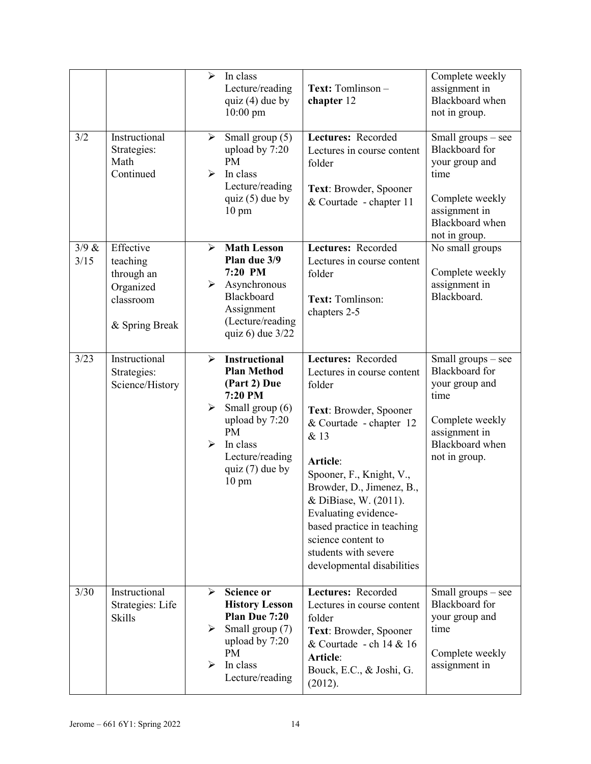|               |                                                                                 | $\blacktriangleright$                               | In class<br>Lecture/reading<br>quiz $(4)$ due by<br>$10:00$ pm                                                                                                                                 | Text: Tomlinson -<br>chapter 12                                                                                                                                                                                                                                                                                                                         | Complete weekly<br>assignment in<br>Blackboard when<br>not in group.                                                                   |
|---------------|---------------------------------------------------------------------------------|-----------------------------------------------------|------------------------------------------------------------------------------------------------------------------------------------------------------------------------------------------------|---------------------------------------------------------------------------------------------------------------------------------------------------------------------------------------------------------------------------------------------------------------------------------------------------------------------------------------------------------|----------------------------------------------------------------------------------------------------------------------------------------|
| 3/2           | Instructional<br>Strategies:<br>Math<br>Continued                               | $\blacktriangleright$<br>$\blacktriangleright$      | Small group (5)<br>upload by 7:20<br><b>PM</b><br>In class<br>Lecture/reading<br>quiz $(5)$ due by<br>$10 \text{ pm}$                                                                          | Lectures: Recorded<br>Lectures in course content<br>folder<br>Text: Browder, Spooner<br>& Courtade - chapter 11                                                                                                                                                                                                                                         | Small groups - see<br>Blackboard for<br>your group and<br>time<br>Complete weekly<br>assignment in<br>Blackboard when<br>not in group. |
| 3/9 &<br>3/15 | Effective<br>teaching<br>through an<br>Organized<br>classroom<br>& Spring Break | $\blacktriangleright$<br>➤                          | <b>Math Lesson</b><br>Plan due 3/9<br>7:20 PM<br>Asynchronous<br>Blackboard<br>Assignment<br>(Lecture/reading<br>quiz 6) due $3/22$                                                            | Lectures: Recorded<br>Lectures in course content<br>folder<br>Text: Tomlinson:<br>chapters 2-5                                                                                                                                                                                                                                                          | No small groups<br>Complete weekly<br>assignment in<br>Blackboard.                                                                     |
| 3/23          | Instructional<br>Strategies:<br>Science/History                                 | ➤<br>$\blacktriangleright$<br>$\blacktriangleright$ | <b>Instructional</b><br><b>Plan Method</b><br>(Part 2) Due<br>7:20 PM<br>Small group (6)<br>upload by 7:20<br><b>PM</b><br>In class<br>Lecture/reading<br>quiz $(7)$ due by<br>$10 \text{ pm}$ | Lectures: Recorded<br>Lectures in course content<br>folder<br>Text: Browder, Spooner<br>& Courtade - chapter 12<br>& 13<br>Article:<br>Spooner, F., Knight, V.,<br>Browder, D., Jimenez, B.,<br>& DiBiase, W. (2011).<br>Evaluating evidence-<br>based practice in teaching<br>science content to<br>students with severe<br>developmental disabilities | Small groups - see<br>Blackboard for<br>your group and<br>time<br>Complete weekly<br>assignment in<br>Blackboard when<br>not in group. |
| 3/30          | Instructional<br>Strategies: Life<br><b>Skills</b>                              | $\blacktriangleright$<br>➤<br>↘                     | <b>Science or</b><br><b>History Lesson</b><br>Plan Due 7:20<br>Small group (7)<br>upload by 7:20<br>PM<br>In class<br>Lecture/reading                                                          | Lectures: Recorded<br>Lectures in course content<br>folder<br>Text: Browder, Spooner<br>& Courtade - ch 14 & 16<br>Article:<br>Bouck, E.C., & Joshi, G.<br>(2012).                                                                                                                                                                                      | Small groups $-$ see<br>Blackboard for<br>your group and<br>time<br>Complete weekly<br>assignment in                                   |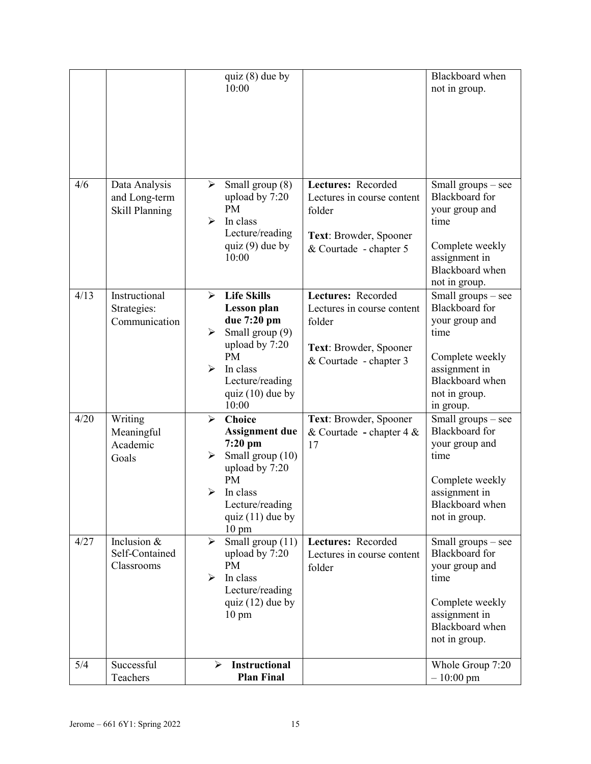|      |                                                  | quiz $(8)$ due by<br>10:00                                                                                                                                                                                                                         |                                                                                                                | Blackboard when<br>not in group.                                                                                                                                                             |
|------|--------------------------------------------------|----------------------------------------------------------------------------------------------------------------------------------------------------------------------------------------------------------------------------------------------------|----------------------------------------------------------------------------------------------------------------|----------------------------------------------------------------------------------------------------------------------------------------------------------------------------------------------|
| 4/6  | Data Analysis<br>and Long-term<br>Skill Planning | Small group (8)<br>➤<br>upload by 7:20<br><b>PM</b><br>$\blacktriangleright$<br>In class<br>Lecture/reading<br>quiz $(9)$ due by<br>10:00                                                                                                          | Lectures: Recorded<br>Lectures in course content<br>folder<br>Text: Browder, Spooner<br>& Courtade - chapter 5 | Small groups – see<br><b>Blackboard</b> for<br>your group and<br>time<br>Complete weekly<br>assignment in<br>Blackboard when<br>not in group.                                                |
| 4/13 | Instructional<br>Strategies:<br>Communication    | <b>Life Skills</b><br>$\blacktriangleright$<br><b>Lesson</b> plan<br>due 7:20 pm<br>Small group (9)<br>$\blacktriangleright$<br>upload by 7:20<br><b>PM</b><br>$\blacktriangleright$<br>In class<br>Lecture/reading<br>quiz $(10)$ due by<br>10:00 | Lectures: Recorded<br>Lectures in course content<br>folder<br>Text: Browder, Spooner<br>& Courtade - chapter 3 | $\overline{\text{Small}~\text{groups}} - \text{see}$<br><b>Blackboard</b> for<br>your group and<br>time<br>Complete weekly<br>assignment in<br>Blackboard when<br>not in group.<br>in group. |
| 4/20 | Writing<br>Meaningful<br>Academic<br>Goals       | <b>Choice</b><br>$\blacktriangleright$<br><b>Assignment due</b><br>$7:20$ pm<br>Small group (10)<br>➤<br>upload by 7:20<br><b>PM</b><br>In class<br>⊳<br>Lecture/reading<br>quiz $(11)$ due by<br>$10 \text{ pm}$                                  | Text: Browder, Spooner<br>& Courtade - chapter $4 &$<br>17                                                     | Small groups - see<br><b>Blackboard</b> for<br>your group and<br>time<br>Complete weekly<br>assignment in<br>Blackboard when<br>not in group.                                                |
| 4/27 | Inclusion $&$<br>Self-Contained<br>Classrooms    | Small group (11)<br>$\blacktriangleright$<br>upload by 7:20<br><b>PM</b><br>In class<br>⋗<br>Lecture/reading<br>quiz $(12)$ due by<br>$10 \text{ pm}$                                                                                              | Lectures: Recorded<br>Lectures in course content<br>folder                                                     | Small groups - see<br><b>Blackboard</b> for<br>your group and<br>time<br>Complete weekly<br>assignment in<br>Blackboard when<br>not in group.                                                |
| 5/4  | Successful<br>Teachers                           | <b>Instructional</b><br>⋗<br><b>Plan Final</b>                                                                                                                                                                                                     |                                                                                                                | Whole Group 7:20<br>$-10:00 \text{ pm}$                                                                                                                                                      |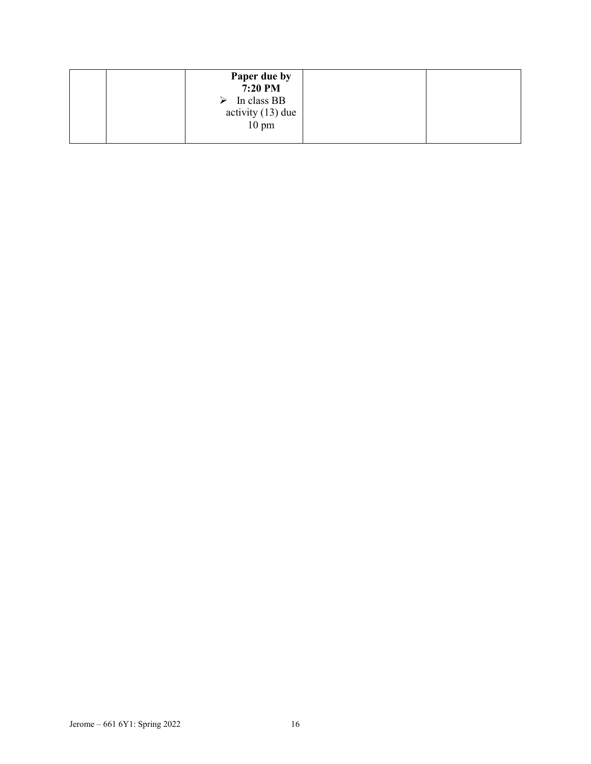| Paper due by<br>7:20 PM<br>In class BB<br>➤<br>activity $(13)$ due |  |
|--------------------------------------------------------------------|--|
| $10 \text{ pm}$                                                    |  |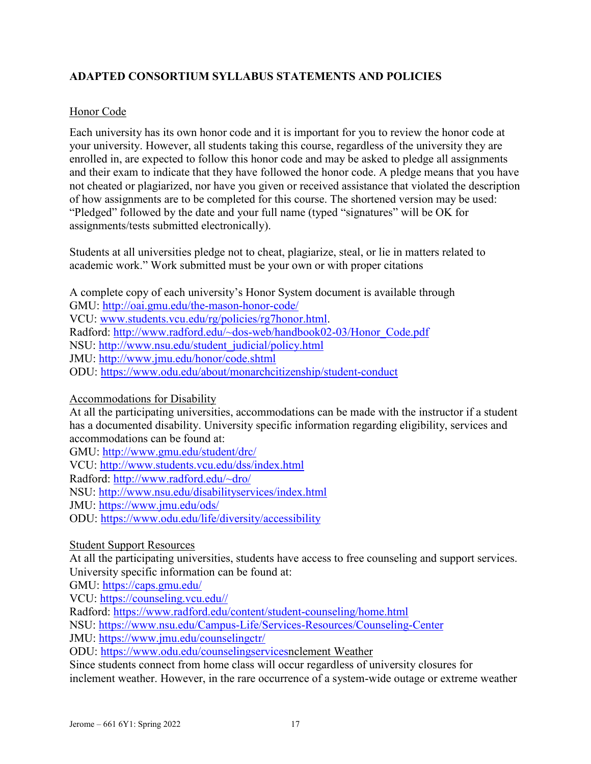## **ADAPTED CONSORTIUM SYLLABUS STATEMENTS AND POLICIES**

### Honor Code

Each university has its own honor code and it is important for you to review the honor code at your university. However, all students taking this course, regardless of the university they are enrolled in, are expected to follow this honor code and may be asked to pledge all assignments and their exam to indicate that they have followed the honor code. A pledge means that you have not cheated or plagiarized, nor have you given or received assistance that violated the description of how assignments are to be completed for this course. The shortened version may be used: "Pledged" followed by the date and your full name (typed "signatures" will be OK for assignments/tests submitted electronically).

Students at all universities pledge not to cheat, plagiarize, steal, or lie in matters related to academic work." Work submitted must be your own or with proper citations

A complete copy of each university's Honor System document is available through GMU:<http://oai.gmu.edu/the-mason-honor-code/> VCU: [www.students.vcu.edu/rg/policies/rg7honor.html.](http://www.students.vcu.edu/rg/policies/rg7honor.html) Radford: [http://www.radford.edu/~dos-web/handbook02-03/Honor\\_Code.pdf](http://www.radford.edu/%7Edos-web/handbook02-03/Honor_Code.pdf) NSU: [http://www.nsu.edu/student\\_judicial/policy.html](http://www.nsu.edu/student_judicial/policy.html) JMU:<http://www.jmu.edu/honor/code.shtml> ODU:<https://www.odu.edu/about/monarchcitizenship/student-conduct>

Accommodations for Disability

At all the participating universities, accommodations can be made with the instructor if a student has a documented disability. University specific information regarding eligibility, services and accommodations can be found at:

GMU:<http://www.gmu.edu/student/drc/> VCU:<http://www.students.vcu.edu/dss/index.html> Radford: [http://www.radford.edu/~dro/](http://www.radford.edu/%7Edro/) NSU:<http://www.nsu.edu/disabilityservices/index.html> JMU:<https://www.jmu.edu/ods/> ODU:<https://www.odu.edu/life/diversity/accessibility>

Student Support Resources

At all the participating universities, students have access to free counseling and support services. University specific information can be found at:

GMU:<https://caps.gmu.edu/>

VCU: [https://counseling.vcu.edu//](https://counseling.vcu.edu/)

Radford:<https://www.radford.edu/content/student-counseling/home.html>

NSU:<https://www.nsu.edu/Campus-Life/Services-Resources/Counseling-Center>

JMU:<https://www.jmu.edu/counselingctr/>

ODU: [https://www.odu.edu/counselingservicesn](https://www.odu.edu/counselingservices)clement Weather

Since students connect from home class will occur regardless of university closures for inclement weather. However, in the rare occurrence of a system-wide outage or extreme weather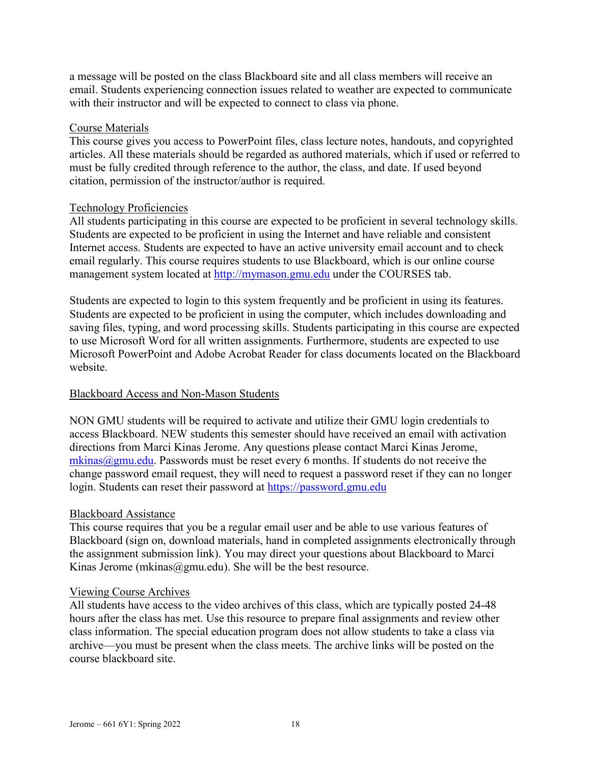a message will be posted on the class Blackboard site and all class members will receive an email. Students experiencing connection issues related to weather are expected to communicate with their instructor and will be expected to connect to class via phone.

#### Course Materials

This course gives you access to PowerPoint files, class lecture notes, handouts, and copyrighted articles. All these materials should be regarded as authored materials, which if used or referred to must be fully credited through reference to the author, the class, and date. If used beyond citation, permission of the instructor/author is required.

#### Technology Proficiencies

All students participating in this course are expected to be proficient in several technology skills. Students are expected to be proficient in using the Internet and have reliable and consistent Internet access. Students are expected to have an active university email account and to check email regularly. This course requires students to use Blackboard, which is our online course management system located at [http://mymason.gmu.edu](http://mymason.gmu.edu/) under the COURSES tab.

Students are expected to login to this system frequently and be proficient in using its features. Students are expected to be proficient in using the computer, which includes downloading and saving files, typing, and word processing skills. Students participating in this course are expected to use Microsoft Word for all written assignments. Furthermore, students are expected to use Microsoft PowerPoint and Adobe Acrobat Reader for class documents located on the Blackboard website.

#### Blackboard Access and Non-Mason Students

NON GMU students will be required to activate and utilize their GMU login credentials to access Blackboard. NEW students this semester should have received an email with activation directions from Marci Kinas Jerome. Any questions please contact Marci Kinas Jerome,  $m\text{kinas}$   $\omega$ gmu.edu. Passwords must be reset every 6 months. If students do not receive the change password email request, they will need to request a password reset if they can no longer login. Students can reset their password at [https://password.gmu.edu](https://password.gmu.edu/)

#### Blackboard Assistance

This course requires that you be a regular email user and be able to use various features of Blackboard (sign on, download materials, hand in completed assignments electronically through the assignment submission link). You may direct your questions about Blackboard to Marci Kinas Jerome (mkinas@gmu.edu). She will be the best resource.

#### Viewing Course Archives

All students have access to the video archives of this class, which are typically posted 24-48 hours after the class has met. Use this resource to prepare final assignments and review other class information. The special education program does not allow students to take a class via archive—you must be present when the class meets. The archive links will be posted on the course blackboard site.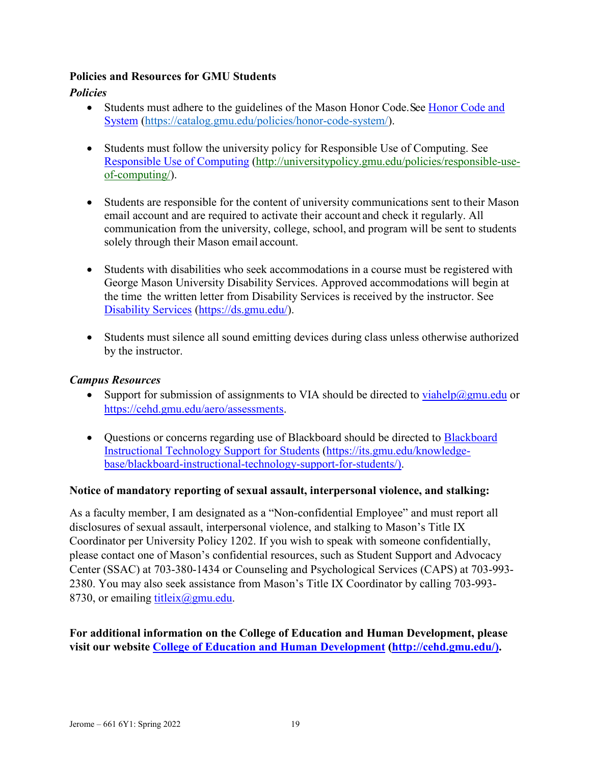## **Policies and Resources for GMU Students**

## *Policies*

- Students must adhere to the guidelines of the Mason Honor Code. See Honor Code and [System](https://catalog.gmu.edu/policies/honor-code-system/) [\(https://catalog.gmu.edu/policies/honor-code-system/\)](https://catalog.gmu.edu/policies/honor-code-system/).
- Students must follow the university policy for Responsible Use of Computing. See [Responsible Use of Computing](http://universitypolicy.gmu.edu/policies/responsible-use-of-computing/) [\(http://universitypolicy.gmu.edu/policies/responsible-use](http://universitypolicy.gmu.edu/policies/responsible-use-of-computing/)[of-computing/\)](http://universitypolicy.gmu.edu/policies/responsible-use-of-computing/).
- Students are responsible for the content of university communications sent to their Mason email account and are required to activate their account and check it regularly. All communication from the university, college, school, and program will be sent to students solely through their Mason email account.
- Students with disabilities who seek accommodations in a course must be registered with George Mason University Disability Services. Approved accommodations will begin at the time the written letter from Disability Services is received by the instructor. See [Disability Services](https://ds.gmu.edu/) [\(https://ds.gmu.edu/\)](https://ds.gmu.edu/).
- Students must silence all sound emitting devices during class unless otherwise authorized by the instructor.

## *Campus Resources*

- Support for submission of assignments to VIA should be directed to [viahelp@gmu.edu](mailto:viahelp@gmu.edu) or [https://cehd.gmu.edu/aero/assessments.](https://cehd.gmu.edu/aero/assessments)
- Questions or concerns regarding use of [Blackboard](https://its.gmu.edu/knowledge-base/blackboard-instructional-technology-support-for-students/) should be directed to Blackboard [Instructional Technology Support for Students](https://its.gmu.edu/knowledge-base/blackboard-instructional-technology-support-for-students/) [\(https://its.gmu.edu/knowledge](https://its.gmu.edu/knowledge-base/blackboard-instructional-technology-support-for-students/)[base/blackboard-instructional-technology-support-for-students/\)](https://its.gmu.edu/knowledge-base/blackboard-instructional-technology-support-for-students/).

## **Notice of mandatory reporting of sexual assault, interpersonal violence, and stalking:**

As a faculty member, I am designated as a "Non-confidential Employee" and must report all disclosures of sexual assault, interpersonal violence, and stalking to Mason's Title IX Coordinator per University Policy 1202. If you wish to speak with someone confidentially, please contact one of Mason's confidential resources, such as Student Support and Advocacy Center (SSAC) at 703-380-1434 or Counseling and Psychological Services (CAPS) at 703-993- 2380. You may also seek assistance from Mason's Title IX Coordinator by calling 703-993- 8730, or emailing titleix $(\partial g$ mu.edu.

## **For additional information on the College of Education and Human Development, please visit our website [College of Education and Human Development](http://cehd.gmu.edu/) [\(http://cehd.gmu.edu/\)](https://cehd.gmu.edu/).**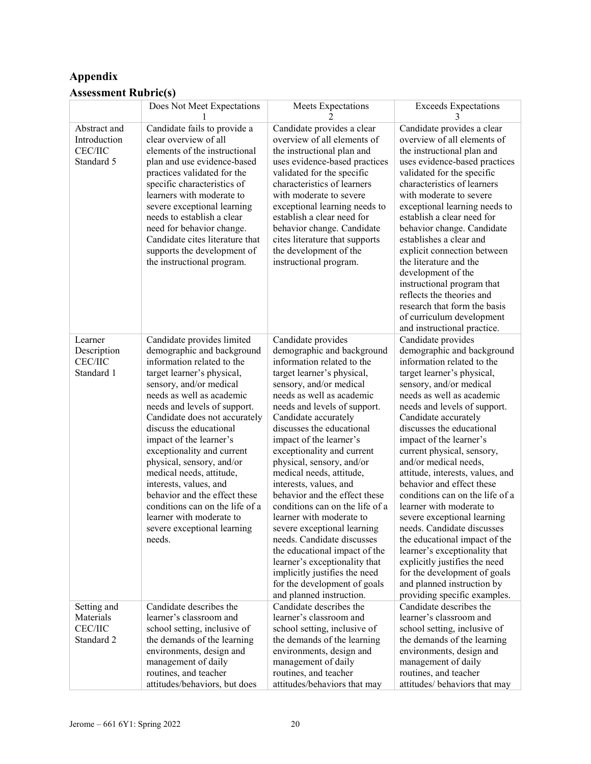# **Appendix Assessment Rubric(s)**

|                                                              | Does Not Meet Expectations                                                                                                                                                                                                                                                                                                                                                                                                                                                                                                                                    | Meets Expectations                                                                                                                                                                                                                                                                                                                                                                                                                                                                                                                                                                                                                                                                                                                | <b>Exceeds Expectations</b>                                                                                                                                                                                                                                                                                                                                                                                                                                                                                                                                                                                                                                                                                                               |
|--------------------------------------------------------------|---------------------------------------------------------------------------------------------------------------------------------------------------------------------------------------------------------------------------------------------------------------------------------------------------------------------------------------------------------------------------------------------------------------------------------------------------------------------------------------------------------------------------------------------------------------|-----------------------------------------------------------------------------------------------------------------------------------------------------------------------------------------------------------------------------------------------------------------------------------------------------------------------------------------------------------------------------------------------------------------------------------------------------------------------------------------------------------------------------------------------------------------------------------------------------------------------------------------------------------------------------------------------------------------------------------|-------------------------------------------------------------------------------------------------------------------------------------------------------------------------------------------------------------------------------------------------------------------------------------------------------------------------------------------------------------------------------------------------------------------------------------------------------------------------------------------------------------------------------------------------------------------------------------------------------------------------------------------------------------------------------------------------------------------------------------------|
| Abstract and<br>Introduction<br><b>CEC/IIC</b><br>Standard 5 | Candidate fails to provide a<br>clear overview of all<br>elements of the instructional<br>plan and use evidence-based<br>practices validated for the<br>specific characteristics of<br>learners with moderate to<br>severe exceptional learning<br>needs to establish a clear<br>need for behavior change.<br>Candidate cites literature that<br>supports the development of<br>the instructional program.                                                                                                                                                    | Candidate provides a clear<br>overview of all elements of<br>the instructional plan and<br>uses evidence-based practices<br>validated for the specific<br>characteristics of learners<br>with moderate to severe<br>exceptional learning needs to<br>establish a clear need for<br>behavior change. Candidate<br>cites literature that supports<br>the development of the<br>instructional program.                                                                                                                                                                                                                                                                                                                               | Candidate provides a clear<br>overview of all elements of<br>the instructional plan and<br>uses evidence-based practices<br>validated for the specific<br>characteristics of learners<br>with moderate to severe<br>exceptional learning needs to<br>establish a clear need for<br>behavior change. Candidate<br>establishes a clear and<br>explicit connection between<br>the literature and the<br>development of the<br>instructional program that<br>reflects the theories and<br>research that form the basis<br>of curriculum development<br>and instructional practice.                                                                                                                                                            |
| Learner<br>Description<br><b>CEC/IIC</b><br>Standard 1       | Candidate provides limited<br>demographic and background<br>information related to the<br>target learner's physical,<br>sensory, and/or medical<br>needs as well as academic<br>needs and levels of support.<br>Candidate does not accurately<br>discuss the educational<br>impact of the learner's<br>exceptionality and current<br>physical, sensory, and/or<br>medical needs, attitude,<br>interests, values, and<br>behavior and the effect these<br>conditions can on the life of a<br>learner with moderate to<br>severe exceptional learning<br>needs. | Candidate provides<br>demographic and background<br>information related to the<br>target learner's physical,<br>sensory, and/or medical<br>needs as well as academic<br>needs and levels of support.<br>Candidate accurately<br>discusses the educational<br>impact of the learner's<br>exceptionality and current<br>physical, sensory, and/or<br>medical needs, attitude,<br>interests, values, and<br>behavior and the effect these<br>conditions can on the life of a<br>learner with moderate to<br>severe exceptional learning<br>needs. Candidate discusses<br>the educational impact of the<br>learner's exceptionality that<br>implicitly justifies the need<br>for the development of goals<br>and planned instruction. | Candidate provides<br>demographic and background<br>information related to the<br>target learner's physical,<br>sensory, and/or medical<br>needs as well as academic<br>needs and levels of support.<br>Candidate accurately<br>discusses the educational<br>impact of the learner's<br>current physical, sensory,<br>and/or medical needs,<br>attitude, interests, values, and<br>behavior and effect these<br>conditions can on the life of a<br>learner with moderate to<br>severe exceptional learning<br>needs. Candidate discusses<br>the educational impact of the<br>learner's exceptionality that<br>explicitly justifies the need<br>for the development of goals<br>and planned instruction by<br>providing specific examples. |
| Setting and<br>Materials<br><b>CEC/IIC</b><br>Standard 2     | Candidate describes the<br>learner's classroom and<br>school setting, inclusive of<br>the demands of the learning<br>environments, design and<br>management of daily<br>routines, and teacher<br>attitudes/behaviors, but does                                                                                                                                                                                                                                                                                                                                | Candidate describes the<br>learner's classroom and<br>school setting, inclusive of<br>the demands of the learning<br>environments, design and<br>management of daily<br>routines, and teacher<br>attitudes/behaviors that may                                                                                                                                                                                                                                                                                                                                                                                                                                                                                                     | Candidate describes the<br>learner's classroom and<br>school setting, inclusive of<br>the demands of the learning<br>environments, design and<br>management of daily<br>routines, and teacher<br>attitudes/ behaviors that may                                                                                                                                                                                                                                                                                                                                                                                                                                                                                                            |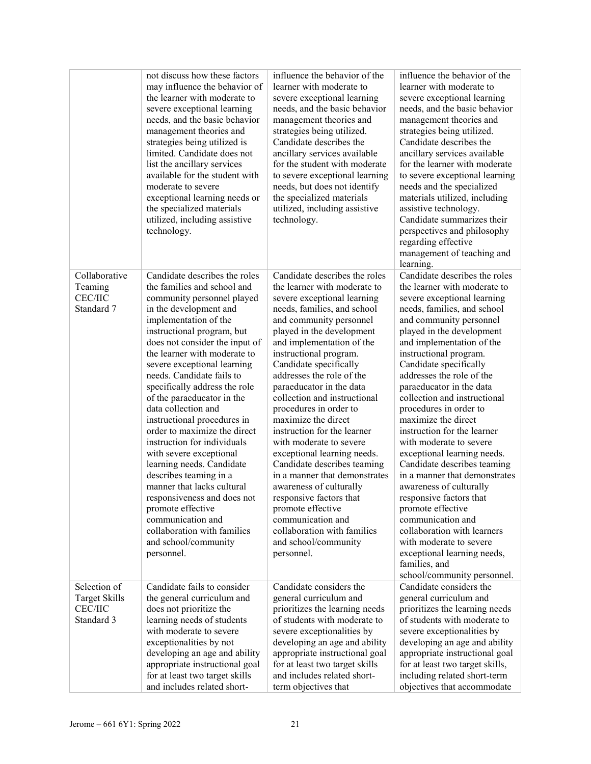|                                 | not discuss how these factors<br>may influence the behavior of<br>the learner with moderate to<br>severe exceptional learning<br>needs, and the basic behavior<br>management theories and<br>strategies being utilized is<br>limited. Candidate does not<br>list the ancillary services<br>available for the student with<br>moderate to severe<br>exceptional learning needs or<br>the specialized materials<br>utilized, including assistive<br>technology. | influence the behavior of the<br>learner with moderate to<br>severe exceptional learning<br>needs, and the basic behavior<br>management theories and<br>strategies being utilized.<br>Candidate describes the<br>ancillary services available<br>for the student with moderate<br>to severe exceptional learning<br>needs, but does not identify<br>the specialized materials<br>utilized, including assistive<br>technology. | influence the behavior of the<br>learner with moderate to<br>severe exceptional learning<br>needs, and the basic behavior<br>management theories and<br>strategies being utilized.<br>Candidate describes the<br>ancillary services available<br>for the learner with moderate<br>to severe exceptional learning<br>needs and the specialized<br>materials utilized, including<br>assistive technology.<br>Candidate summarizes their<br>perspectives and philosophy<br>regarding effective<br>management of teaching and |
|---------------------------------|---------------------------------------------------------------------------------------------------------------------------------------------------------------------------------------------------------------------------------------------------------------------------------------------------------------------------------------------------------------------------------------------------------------------------------------------------------------|-------------------------------------------------------------------------------------------------------------------------------------------------------------------------------------------------------------------------------------------------------------------------------------------------------------------------------------------------------------------------------------------------------------------------------|---------------------------------------------------------------------------------------------------------------------------------------------------------------------------------------------------------------------------------------------------------------------------------------------------------------------------------------------------------------------------------------------------------------------------------------------------------------------------------------------------------------------------|
| Collaborative                   | Candidate describes the roles                                                                                                                                                                                                                                                                                                                                                                                                                                 | Candidate describes the roles                                                                                                                                                                                                                                                                                                                                                                                                 | learning.<br>Candidate describes the roles                                                                                                                                                                                                                                                                                                                                                                                                                                                                                |
| Teaming                         | the families and school and                                                                                                                                                                                                                                                                                                                                                                                                                                   | the learner with moderate to                                                                                                                                                                                                                                                                                                                                                                                                  | the learner with moderate to                                                                                                                                                                                                                                                                                                                                                                                                                                                                                              |
| <b>CEC/IIC</b>                  | community personnel played                                                                                                                                                                                                                                                                                                                                                                                                                                    | severe exceptional learning                                                                                                                                                                                                                                                                                                                                                                                                   | severe exceptional learning                                                                                                                                                                                                                                                                                                                                                                                                                                                                                               |
| Standard 7                      | in the development and                                                                                                                                                                                                                                                                                                                                                                                                                                        | needs, families, and school                                                                                                                                                                                                                                                                                                                                                                                                   | needs, families, and school                                                                                                                                                                                                                                                                                                                                                                                                                                                                                               |
|                                 | implementation of the                                                                                                                                                                                                                                                                                                                                                                                                                                         | and community personnel                                                                                                                                                                                                                                                                                                                                                                                                       | and community personnel                                                                                                                                                                                                                                                                                                                                                                                                                                                                                                   |
|                                 | instructional program, but                                                                                                                                                                                                                                                                                                                                                                                                                                    | played in the development                                                                                                                                                                                                                                                                                                                                                                                                     | played in the development                                                                                                                                                                                                                                                                                                                                                                                                                                                                                                 |
|                                 | does not consider the input of                                                                                                                                                                                                                                                                                                                                                                                                                                | and implementation of the                                                                                                                                                                                                                                                                                                                                                                                                     | and implementation of the                                                                                                                                                                                                                                                                                                                                                                                                                                                                                                 |
|                                 | the learner with moderate to                                                                                                                                                                                                                                                                                                                                                                                                                                  | instructional program.                                                                                                                                                                                                                                                                                                                                                                                                        | instructional program.                                                                                                                                                                                                                                                                                                                                                                                                                                                                                                    |
|                                 | severe exceptional learning<br>needs. Candidate fails to                                                                                                                                                                                                                                                                                                                                                                                                      | Candidate specifically<br>addresses the role of the                                                                                                                                                                                                                                                                                                                                                                           | Candidate specifically<br>addresses the role of the                                                                                                                                                                                                                                                                                                                                                                                                                                                                       |
|                                 | specifically address the role                                                                                                                                                                                                                                                                                                                                                                                                                                 | paraeducator in the data                                                                                                                                                                                                                                                                                                                                                                                                      | paraeducator in the data                                                                                                                                                                                                                                                                                                                                                                                                                                                                                                  |
|                                 | of the paraeducator in the                                                                                                                                                                                                                                                                                                                                                                                                                                    | collection and instructional                                                                                                                                                                                                                                                                                                                                                                                                  | collection and instructional                                                                                                                                                                                                                                                                                                                                                                                                                                                                                              |
|                                 | data collection and                                                                                                                                                                                                                                                                                                                                                                                                                                           | procedures in order to                                                                                                                                                                                                                                                                                                                                                                                                        | procedures in order to                                                                                                                                                                                                                                                                                                                                                                                                                                                                                                    |
|                                 | instructional procedures in                                                                                                                                                                                                                                                                                                                                                                                                                                   | maximize the direct                                                                                                                                                                                                                                                                                                                                                                                                           | maximize the direct                                                                                                                                                                                                                                                                                                                                                                                                                                                                                                       |
|                                 | order to maximize the direct                                                                                                                                                                                                                                                                                                                                                                                                                                  | instruction for the learner                                                                                                                                                                                                                                                                                                                                                                                                   | instruction for the learner                                                                                                                                                                                                                                                                                                                                                                                                                                                                                               |
|                                 | instruction for individuals                                                                                                                                                                                                                                                                                                                                                                                                                                   | with moderate to severe                                                                                                                                                                                                                                                                                                                                                                                                       | with moderate to severe                                                                                                                                                                                                                                                                                                                                                                                                                                                                                                   |
|                                 | with severe exceptional                                                                                                                                                                                                                                                                                                                                                                                                                                       | exceptional learning needs.                                                                                                                                                                                                                                                                                                                                                                                                   | exceptional learning needs.                                                                                                                                                                                                                                                                                                                                                                                                                                                                                               |
|                                 | learning needs. Candidate                                                                                                                                                                                                                                                                                                                                                                                                                                     | Candidate describes teaming                                                                                                                                                                                                                                                                                                                                                                                                   | Candidate describes teaming                                                                                                                                                                                                                                                                                                                                                                                                                                                                                               |
|                                 | describes teaming in a                                                                                                                                                                                                                                                                                                                                                                                                                                        | in a manner that demonstrates                                                                                                                                                                                                                                                                                                                                                                                                 | in a manner that demonstrates                                                                                                                                                                                                                                                                                                                                                                                                                                                                                             |
|                                 | manner that lacks cultural<br>responsiveness and does not                                                                                                                                                                                                                                                                                                                                                                                                     | awareness of culturally                                                                                                                                                                                                                                                                                                                                                                                                       | awareness of culturally<br>responsive factors that                                                                                                                                                                                                                                                                                                                                                                                                                                                                        |
|                                 | promote effective                                                                                                                                                                                                                                                                                                                                                                                                                                             | responsive factors that<br>promote effective                                                                                                                                                                                                                                                                                                                                                                                  | promote effective                                                                                                                                                                                                                                                                                                                                                                                                                                                                                                         |
|                                 | communication and                                                                                                                                                                                                                                                                                                                                                                                                                                             | communication and                                                                                                                                                                                                                                                                                                                                                                                                             | communication and                                                                                                                                                                                                                                                                                                                                                                                                                                                                                                         |
|                                 | collaboration with families                                                                                                                                                                                                                                                                                                                                                                                                                                   | collaboration with families                                                                                                                                                                                                                                                                                                                                                                                                   | collaboration with learners                                                                                                                                                                                                                                                                                                                                                                                                                                                                                               |
|                                 | and school/community                                                                                                                                                                                                                                                                                                                                                                                                                                          | and school/community                                                                                                                                                                                                                                                                                                                                                                                                          | with moderate to severe                                                                                                                                                                                                                                                                                                                                                                                                                                                                                                   |
|                                 | personnel.                                                                                                                                                                                                                                                                                                                                                                                                                                                    | personnel.                                                                                                                                                                                                                                                                                                                                                                                                                    | exceptional learning needs,                                                                                                                                                                                                                                                                                                                                                                                                                                                                                               |
|                                 |                                                                                                                                                                                                                                                                                                                                                                                                                                                               |                                                                                                                                                                                                                                                                                                                                                                                                                               | families, and                                                                                                                                                                                                                                                                                                                                                                                                                                                                                                             |
|                                 |                                                                                                                                                                                                                                                                                                                                                                                                                                                               |                                                                                                                                                                                                                                                                                                                                                                                                                               | school/community personnel.                                                                                                                                                                                                                                                                                                                                                                                                                                                                                               |
| Selection of                    | Candidate fails to consider                                                                                                                                                                                                                                                                                                                                                                                                                                   | Candidate considers the                                                                                                                                                                                                                                                                                                                                                                                                       | Candidate considers the                                                                                                                                                                                                                                                                                                                                                                                                                                                                                                   |
| <b>Target Skills</b><br>CEC/IIC | the general curriculum and                                                                                                                                                                                                                                                                                                                                                                                                                                    | general curriculum and<br>prioritizes the learning needs                                                                                                                                                                                                                                                                                                                                                                      | general curriculum and                                                                                                                                                                                                                                                                                                                                                                                                                                                                                                    |
| Standard 3                      | does not prioritize the<br>learning needs of students                                                                                                                                                                                                                                                                                                                                                                                                         | of students with moderate to                                                                                                                                                                                                                                                                                                                                                                                                  | prioritizes the learning needs<br>of students with moderate to                                                                                                                                                                                                                                                                                                                                                                                                                                                            |
|                                 | with moderate to severe                                                                                                                                                                                                                                                                                                                                                                                                                                       | severe exceptionalities by                                                                                                                                                                                                                                                                                                                                                                                                    | severe exceptionalities by                                                                                                                                                                                                                                                                                                                                                                                                                                                                                                |
|                                 | exceptionalities by not                                                                                                                                                                                                                                                                                                                                                                                                                                       | developing an age and ability                                                                                                                                                                                                                                                                                                                                                                                                 | developing an age and ability                                                                                                                                                                                                                                                                                                                                                                                                                                                                                             |
|                                 | developing an age and ability                                                                                                                                                                                                                                                                                                                                                                                                                                 | appropriate instructional goal                                                                                                                                                                                                                                                                                                                                                                                                | appropriate instructional goal                                                                                                                                                                                                                                                                                                                                                                                                                                                                                            |
|                                 | appropriate instructional goal                                                                                                                                                                                                                                                                                                                                                                                                                                | for at least two target skills                                                                                                                                                                                                                                                                                                                                                                                                | for at least two target skills,                                                                                                                                                                                                                                                                                                                                                                                                                                                                                           |
|                                 | for at least two target skills                                                                                                                                                                                                                                                                                                                                                                                                                                | and includes related short-                                                                                                                                                                                                                                                                                                                                                                                                   | including related short-term                                                                                                                                                                                                                                                                                                                                                                                                                                                                                              |
|                                 | and includes related short-                                                                                                                                                                                                                                                                                                                                                                                                                                   | term objectives that                                                                                                                                                                                                                                                                                                                                                                                                          | objectives that accommodate                                                                                                                                                                                                                                                                                                                                                                                                                                                                                               |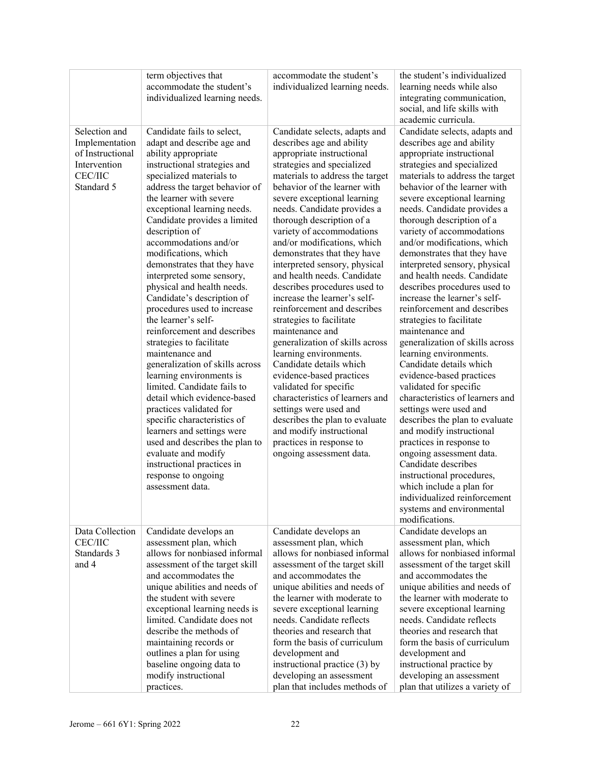|                                                                                                     | term objectives that<br>accommodate the student's<br>individualized learning needs.                                                                                                                                                                                                                                                                                                                                                                                                                                                                                                                                                                                                                                                                                                                                                                                                                                                                           | accommodate the student's<br>individualized learning needs.                                                                                                                                                                                                                                                                                                                                                                                                                                                                                                                                                                                                                                                                                                                                                                                                                                                                   | the student's individualized<br>learning needs while also<br>integrating communication,<br>social, and life skills with<br>academic curricula.                                                                                                                                                                                                                                                                                                                                                                                                                                                                                                                                                                                                                                                                                                                                                                                                                                                                                                                                               |
|-----------------------------------------------------------------------------------------------------|---------------------------------------------------------------------------------------------------------------------------------------------------------------------------------------------------------------------------------------------------------------------------------------------------------------------------------------------------------------------------------------------------------------------------------------------------------------------------------------------------------------------------------------------------------------------------------------------------------------------------------------------------------------------------------------------------------------------------------------------------------------------------------------------------------------------------------------------------------------------------------------------------------------------------------------------------------------|-------------------------------------------------------------------------------------------------------------------------------------------------------------------------------------------------------------------------------------------------------------------------------------------------------------------------------------------------------------------------------------------------------------------------------------------------------------------------------------------------------------------------------------------------------------------------------------------------------------------------------------------------------------------------------------------------------------------------------------------------------------------------------------------------------------------------------------------------------------------------------------------------------------------------------|----------------------------------------------------------------------------------------------------------------------------------------------------------------------------------------------------------------------------------------------------------------------------------------------------------------------------------------------------------------------------------------------------------------------------------------------------------------------------------------------------------------------------------------------------------------------------------------------------------------------------------------------------------------------------------------------------------------------------------------------------------------------------------------------------------------------------------------------------------------------------------------------------------------------------------------------------------------------------------------------------------------------------------------------------------------------------------------------|
| Selection and<br>Implementation<br>of Instructional<br>Intervention<br><b>CEC/IIC</b><br>Standard 5 | Candidate fails to select,<br>adapt and describe age and<br>ability appropriate<br>instructional strategies and<br>specialized materials to<br>address the target behavior of<br>the learner with severe<br>exceptional learning needs.<br>Candidate provides a limited<br>description of<br>accommodations and/or<br>modifications, which<br>demonstrates that they have<br>interpreted some sensory,<br>physical and health needs.<br>Candidate's description of<br>procedures used to increase<br>the learner's self-<br>reinforcement and describes<br>strategies to facilitate<br>maintenance and<br>generalization of skills across<br>learning environments is<br>limited. Candidate fails to<br>detail which evidence-based<br>practices validated for<br>specific characteristics of<br>learners and settings were<br>used and describes the plan to<br>evaluate and modify<br>instructional practices in<br>response to ongoing<br>assessment data. | Candidate selects, adapts and<br>describes age and ability<br>appropriate instructional<br>strategies and specialized<br>materials to address the target<br>behavior of the learner with<br>severe exceptional learning<br>needs. Candidate provides a<br>thorough description of a<br>variety of accommodations<br>and/or modifications, which<br>demonstrates that they have<br>interpreted sensory, physical<br>and health needs. Candidate<br>describes procedures used to<br>increase the learner's self-<br>reinforcement and describes<br>strategies to facilitate<br>maintenance and<br>generalization of skills across<br>learning environments.<br>Candidate details which<br>evidence-based practices<br>validated for specific<br>characteristics of learners and<br>settings were used and<br>describes the plan to evaluate<br>and modify instructional<br>practices in response to<br>ongoing assessment data. | Candidate selects, adapts and<br>describes age and ability<br>appropriate instructional<br>strategies and specialized<br>materials to address the target<br>behavior of the learner with<br>severe exceptional learning<br>needs. Candidate provides a<br>thorough description of a<br>variety of accommodations<br>and/or modifications, which<br>demonstrates that they have<br>interpreted sensory, physical<br>and health needs. Candidate<br>describes procedures used to<br>increase the learner's self-<br>reinforcement and describes<br>strategies to facilitate<br>maintenance and<br>generalization of skills across<br>learning environments.<br>Candidate details which<br>evidence-based practices<br>validated for specific<br>characteristics of learners and<br>settings were used and<br>describes the plan to evaluate<br>and modify instructional<br>practices in response to<br>ongoing assessment data.<br>Candidate describes<br>instructional procedures,<br>which include a plan for<br>individualized reinforcement<br>systems and environmental<br>modifications. |
| Data Collection<br><b>CEC/IIC</b><br>Standards 3<br>and 4                                           | Candidate develops an<br>assessment plan, which<br>allows for nonbiased informal<br>assessment of the target skill<br>and accommodates the<br>unique abilities and needs of<br>the student with severe<br>exceptional learning needs is<br>limited. Candidate does not<br>describe the methods of<br>maintaining records or<br>outlines a plan for using<br>baseline ongoing data to<br>modify instructional<br>practices.                                                                                                                                                                                                                                                                                                                                                                                                                                                                                                                                    | Candidate develops an<br>assessment plan, which<br>allows for nonbiased informal<br>assessment of the target skill<br>and accommodates the<br>unique abilities and needs of<br>the learner with moderate to<br>severe exceptional learning<br>needs. Candidate reflects<br>theories and research that<br>form the basis of curriculum<br>development and<br>instructional practice (3) by<br>developing an assessment<br>plan that includes methods of                                                                                                                                                                                                                                                                                                                                                                                                                                                                        | Candidate develops an<br>assessment plan, which<br>allows for nonbiased informal<br>assessment of the target skill<br>and accommodates the<br>unique abilities and needs of<br>the learner with moderate to<br>severe exceptional learning<br>needs. Candidate reflects<br>theories and research that<br>form the basis of curriculum<br>development and<br>instructional practice by<br>developing an assessment<br>plan that utilizes a variety of                                                                                                                                                                                                                                                                                                                                                                                                                                                                                                                                                                                                                                         |